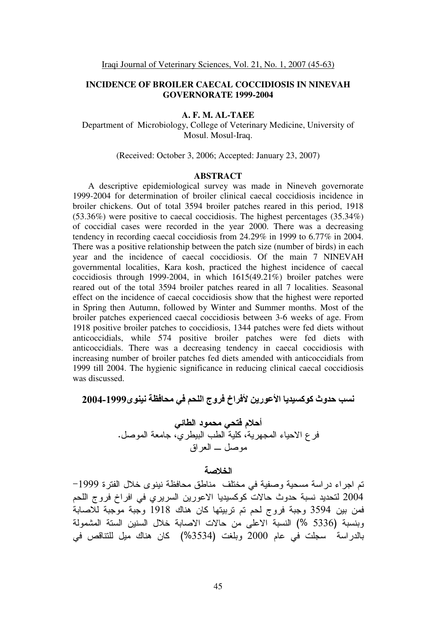# **INCIDENCE OF BROILER CAECAL COCCIDIOSIS IN NINEVAH GOVERNORATE 1999-2004**

#### **A. F. M. AL-TAEE**

Department of Microbiology, College of Veterinary Medicine, University of Mosul. Mosul-Iraq.

(Received: October 3, 2006; Accepted: January 23, 2007)

#### **ABSTRACT**

 A descriptive epidemiological survey was made in Nineveh governorate 1999-2004 for determination of broiler clinical caecal coccidiosis incidence in broiler chickens. Out of total 3594 broiler patches reared in this period, 1918 (53.36%) were positive to caecal coccidiosis. The highest percentages (35.34%) of coccidial cases were recorded in the year 2000. There was a decreasing tendency in recording caecal coccidiosis from 24.29% in 1999 to 6.77% in 2004. There was a positive relationship between the patch size (number of birds) in each year and the incidence of caecal coccidiosis. Of the main 7 NINEVAH governmental localities, Kara kosh, practiced the highest incidence of caecal coccidiosis through 1999-2004, in which 1615(49.21%) broiler patches were reared out of the total 3594 broiler patches reared in all 7 localities. Seasonal effect on the incidence of caecal coccidiosis show that the highest were reported in Spring then Autumn, followed by Winter and Summer months. Most of the broiler patches experienced caecal coccidiosis between 3-6 weeks of age. From 1918 positive broiler patches to coccidiosis, 1344 patches were fed diets without anticoccidials, while 574 positive broiler patches were fed diets with anticoccidials. There was a decreasing tendency in caecal coccidiosis with increasing number of broiler patches fed diets amended with anticoccidials from 1999 till 2004. The hygienic significance in reducing clinical caecal coccidiosis was discussed.

نسب حدوث كوكسيديا الأعورين لأفراخ فروج اللحم في محافظة نينوى2004-1999

أحلام فتحي محمود الطائي فر ع الاحياء المجهرية، كلية الطب البيطري، جامعة الموصل. موصل \_ العراق

# الخلاصة

تم اجراء دراسة مسحية وصفية في مختلف مناطق محافظة نينوى خلال الفترة 1999– 2004 لتحديد نسبة حدوث حالات كوكسيديا الاعورين السريري في افراخ فروج اللحم فمن بين 3594 وجبة فروج لحم تم تربيتها كان هناك 1918 وجبة موجبة للاصابة وبنسبة (5336 %) النسبة الاعلى من حالات الاصابة خلال السنين الستة المشمولة بالدراسة ُ سجلت في عام 2000 وبلغت (3534%) كان هناك ميل للتناقص في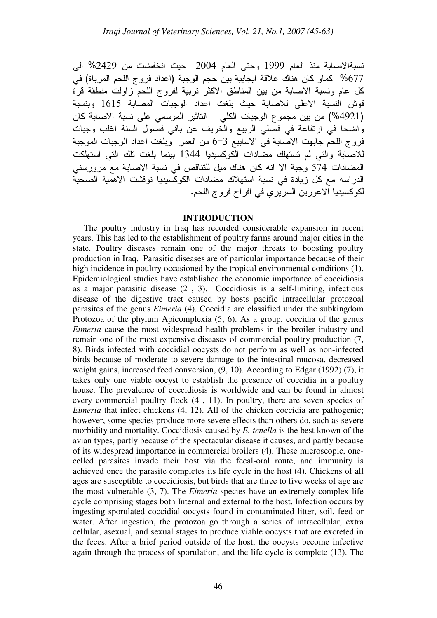نسبةالاصابة منذ العام 1999 وحتى العام 2004 حيث انخفضت من 2429% الى 677% كماو كان هناك علاقة ايجابية بين حجم الوجبة (اعداد فروج اللحم المرباة) في كل عام ونسبة الاصابة من بين المناطق الاكثر تربية لفروج اللحم زاولت منطقة قرة قوش النسبة الاعلى للاصابة حيث بلغت اعداد الوجبات المصابة 1615 وبنسبة (4921%) من بين مجموع الوجبات الكلي التاثير الموسمي على نسبة الاصابة كان واضحا في ارتفاعة في فصلي الربيع والخريف عن باقي فصول السنة اغلب وجبات فروج اللحم جابهت الاصَّابة فيَّ الاسابيّع 3–6 من العمر ۚ وبلغت اعداد الوجبات الموجبة للاصَّابة والتي لم تستهلك مضَّادات الْكوكسيديا 1344 بينما بلغت تلك التي استهلكت المضـادات 574 وجبة الا انه كان هناك ميل للنناقص في نسبة الاصـابة مع مرورسني الدراسه مع كل زيادة في نسبة استهلاك مضادات الكوكسيديا نوقشت الاهمية الصحية لكوكسيديا الاعورين السريري في افراح فروج اللحم.

#### **INTRODUCTION**

 The poultry industry in Iraq has recorded considerable expansion in recent years. This has led to the establishment of poultry farms around major cities in the state. Poultry diseases remain one of the major threats to boosting poultry production in Iraq. Parasitic diseases are of particular importance because of their high incidence in poultry occasioned by the tropical environmental conditions (1). Epidemiological studies have established the economic importance of coccidiosis as a major parasitic disease (2 , 3). Coccidiosis is a self-limiting, infectious disease of the digestive tract caused by hosts pacific intracellular protozoal parasites of the genus *Eimeria* (4). Coccidia are classified under the subkingdom Protozoa of the phylum Apicomplexia (5, 6). As a group, coccidia of the genus *Eimeria* cause the most widespread health problems in the broiler industry and remain one of the most expensive diseases of commercial poultry production (7, 8). Birds infected with coccidial oocysts do not perform as well as non-infected birds because of moderate to severe damage to the intestinal mucosa, decreased weight gains, increased feed conversion, (9, 10). According to Edgar (1992) (7), it takes only one viable oocyst to establish the presence of coccidia in a poultry house. The prevalence of coccidiosis is worldwide and can be found in almost every commercial poultry flock (4 , 11). In poultry, there are seven species of *Eimeria* that infect chickens (4, 12). All of the chicken coccidia are pathogenic; however, some species produce more severe effects than others do, such as severe morbidity and mortality. Coccidiosis caused by *E. tenella* is the best known of the avian types, partly because of the spectacular disease it causes, and partly because of its widespread importance in commercial broilers (4). These microscopic, onecelled parasites invade their host via the fecal-oral route, and immunity is achieved once the parasite completes its life cycle in the host (4). Chickens of all ages are susceptible to coccidiosis, but birds that are three to five weeks of age are the most vulnerable (3, 7). The *Eimeria* species have an extremely complex life cycle comprising stages both Internal and external to the host. Infection occurs by ingesting sporulated coccidial oocysts found in contaminated litter, soil, feed or water. After ingestion, the protozoa go through a series of intracellular, extra cellular, asexual, and sexual stages to produce viable oocysts that are excreted in the feces. After a brief period outside of the host, the oocysts become infective again through the process of sporulation, and the life cycle is complete (13). The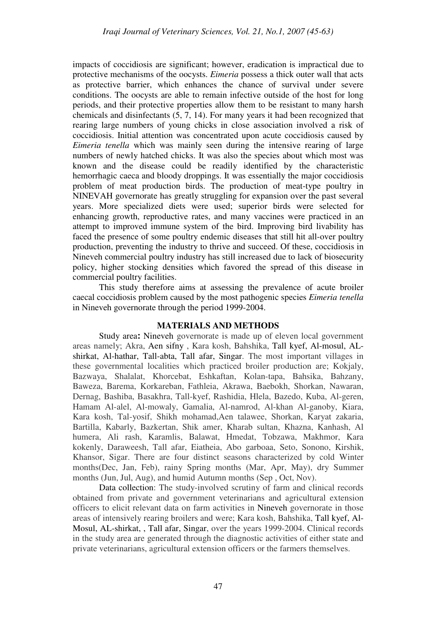impacts of coccidiosis are significant; however, eradication is impractical due to protective mechanisms of the oocysts. *Eimeria* possess a thick outer wall that acts as protective barrier, which enhances the chance of survival under severe conditions. The oocysts are able to remain infective outside of the host for long periods, and their protective properties allow them to be resistant to many harsh chemicals and disinfectants (5, 7, 14). For many years it had been recognized that rearing large numbers of young chicks in close association involved a risk of coccidiosis. Initial attention was concentrated upon acute coccidiosis caused by *Eimeria tenella* which was mainly seen during the intensive rearing of large numbers of newly hatched chicks. It was also the species about which most was known and the disease could be readily identified by the characteristic hemorrhagic caeca and bloody droppings. It was essentially the major coccidiosis problem of meat production birds. The production of meat-type poultry in NINEVAH governorate has greatly struggling for expansion over the past several years. More specialized diets were used; superior birds were selected for enhancing growth, reproductive rates, and many vaccines were practiced in an attempt to improved immune system of the bird. Improving bird livability has faced the presence of some poultry endemic diseases that still hit all-over poultry production, preventing the industry to thrive and succeed. Of these, coccidiosis in Nineveh commercial poultry industry has still increased due to lack of biosecurity policy, higher stocking densities which favored the spread of this disease in commercial poultry facilities.

This study therefore aims at assessing the prevalence of acute broiler caecal coccidiosis problem caused by the most pathogenic species *Eimeria tenella* in Nineveh governorate through the period 1999-2004.

### **MATERIALS AND METHODS**

Study area**:** Nineveh governorate is made up of eleven local government areas namely; Akra, Aen sifny , Kara kosh, Bahshika, Tall kyef, Al-mosul, ALshirkat, Al-hathar, Tall-abta, Tall afar, Singar. The most important villages in these governmental localities which practiced broiler production are; Kokjaly, Bazwaya, Shalalat, Khorcebat, Eshkaftan, Kolan-tapa, Bahsika, Bahzany, Baweza, Barema, Korkareban, Fathleia, Akrawa, Baebokh, Shorkan, Nawaran, Dernag, Bashiba, Basakhra, Tall-kyef, Rashidia, Hlela, Bazedo, Kuba, Al-geren, Hamam Al-alel, Al-mowaly, Gamalia, Al-namrod, Al-khan Al-ganoby, Kiara, Kara kosh, Tal-yosif, Shikh mohamad,Aen talawee, Shorkan, Karyat zakaria, Bartilla, Kabarly, Bazkertan, Shik amer, Kharab sultan, Khazna, Kanhash, Al humera, Ali rash, Karamlis, Balawat, Hmedat, Tobzawa, Makhmor, Kara kokenly, Daraweesh, Tall afar, Eiatheia, Abo garboaa, Seto, Sonono, Kirshik, Khansor, Sigar. There are four distinct seasons characterized by cold Winter months(Dec, Jan, Feb), rainy Spring months (Mar, Apr, May), dry Summer months (Jun, Jul, Aug), and humid Autumn months (Sep , Oct, Nov).

Data collection: The study-involved scrutiny of farm and clinical records obtained from private and government veterinarians and agricultural extension officers to elicit relevant data on farm activities in Nineveh governorate in those areas of intensively rearing broilers and were; Kara kosh, Bahshika, Tall kyef, Al-Mosul, AL-shirkat, , Tall afar, Singar, over the years 1999-2004. Clinical records in the study area are generated through the diagnostic activities of either state and private veterinarians, agricultural extension officers or the farmers themselves.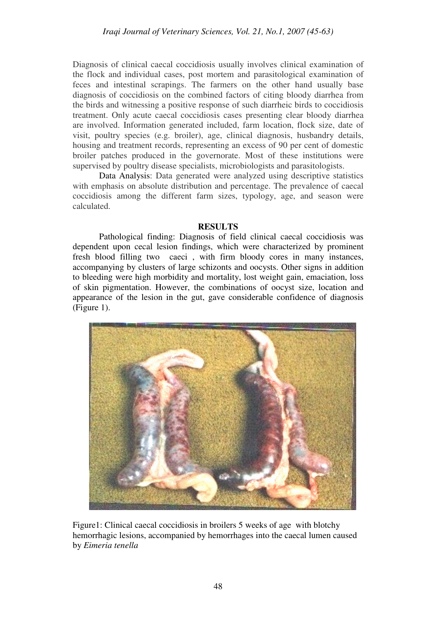Diagnosis of clinical caecal coccidiosis usually involves clinical examination of the flock and individual cases, post mortem and parasitological examination of feces and intestinal scrapings. The farmers on the other hand usually base diagnosis of coccidiosis on the combined factors of citing bloody diarrhea from the birds and witnessing a positive response of such diarrheic birds to coccidiosis treatment. Only acute caecal coccidiosis cases presenting clear bloody diarrhea are involved. Information generated included, farm location, flock size, date of visit, poultry species (e.g. broiler), age, clinical diagnosis, husbandry details, housing and treatment records, representing an excess of 90 per cent of domestic broiler patches produced in the governorate. Most of these institutions were supervised by poultry disease specialists, microbiologists and parasitologists.

Data Analysis: Data generated were analyzed using descriptive statistics with emphasis on absolute distribution and percentage. The prevalence of caecal coccidiosis among the different farm sizes, typology, age, and season were calculated.

### **RESULTS**

 Pathological finding: Diagnosis of field clinical caecal coccidiosis was dependent upon cecal lesion findings, which were characterized by prominent fresh blood filling two caeci , with firm bloody cores in many instances, accompanying by clusters of large schizonts and oocysts. Other signs in addition to bleeding were high morbidity and mortality, lost weight gain, emaciation, loss of skin pigmentation. However, the combinations of oocyst size, location and appearance of the lesion in the gut, gave considerable confidence of diagnosis (Figure 1).



Figure1: Clinical caecal coccidiosis in broilers 5 weeks of age with blotchy hemorrhagic lesions, accompanied by hemorrhages into the caecal lumen caused by *Eimeria tenella*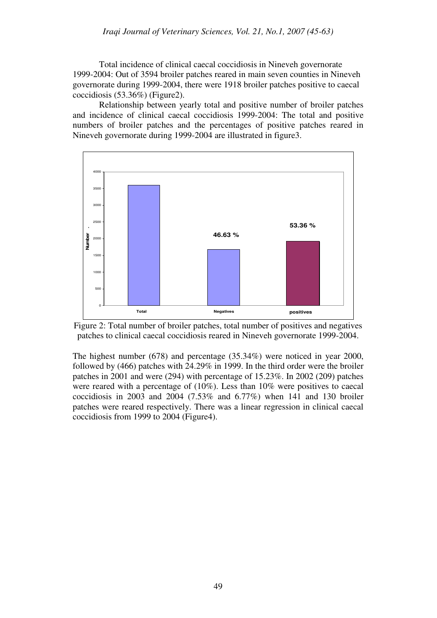Total incidence of clinical caecal coccidiosis in Nineveh governorate 1999-2004: Out of 3594 broiler patches reared in main seven counties in Nineveh governorate during 1999-2004, there were 1918 broiler patches positive to caecal coccidiosis (53.36%) (Figure2).

Relationship between yearly total and positive number of broiler patches and incidence of clinical caecal coccidiosis 1999-2004: The total and positive numbers of broiler patches and the percentages of positive patches reared in Nineveh governorate during 1999-2004 are illustrated in figure3.





The highest number (678) and percentage (35.34%) were noticed in year 2000, followed by (466) patches with 24.29% in 1999. In the third order were the broiler patches in 2001 and were (294) with percentage of 15.23%. In 2002 (209) patches were reared with a percentage of (10%). Less than 10% were positives to caecal coccidiosis in 2003 and 2004 (7.53% and 6.77%) when 141 and 130 broiler patches were reared respectively. There was a linear regression in clinical caecal coccidiosis from 1999 to 2004 (Figure4).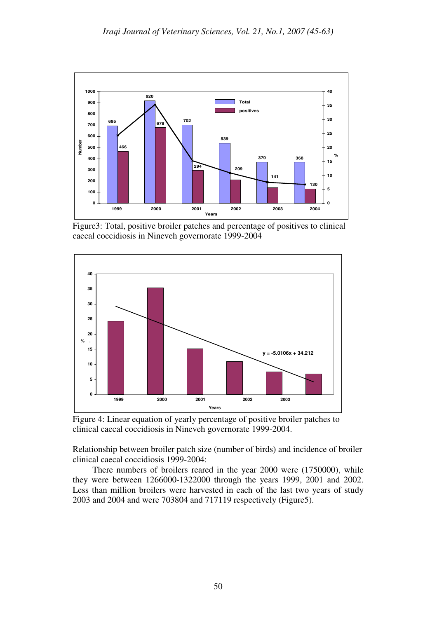

Figure3: Total, positive broiler patches and percentage of positives to clinical caecal coccidiosis in Nineveh governorate 1999-2004



Figure 4: Linear equation of yearly percentage of positive broiler patches to clinical caecal coccidiosis in Nineveh governorate 1999-2004.

Relationship between broiler patch size (number of birds) and incidence of broiler clinical caecal coccidiosis 1999-2004:

 There numbers of broilers reared in the year 2000 were (1750000), while they were between 1266000-1322000 through the years 1999, 2001 and 2002. Less than million broilers were harvested in each of the last two years of study 2003 and 2004 and were 703804 and 717119 respectively (Figure5).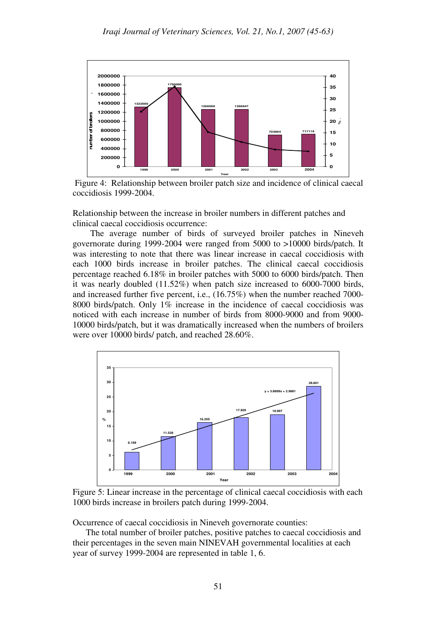

 Figure 4: Relationship between broiler patch size and incidence of clinical caecal coccidiosis 1999-2004.

Relationship between the increase in broiler numbers in different patches and clinical caecal coccidiosis occurrence:

 The average number of birds of surveyed broiler patches in Nineveh governorate during 1999-2004 were ranged from 5000 to >10000 birds/patch. It was interesting to note that there was linear increase in caecal coccidiosis with each 1000 birds increase in broiler patches. The clinical caecal coccidiosis percentage reached 6.18% in broiler patches with 5000 to 6000 birds/patch. Then it was nearly doubled (11.52%) when patch size increased to 6000-7000 birds, and increased further five percent, i.e., (16.75%) when the number reached 7000- 8000 birds/patch. Only 1% increase in the incidence of caecal coccidiosis was noticed with each increase in number of birds from 8000-9000 and from 9000- 10000 birds/patch, but it was dramatically increased when the numbers of broilers were over 10000 birds/ patch, and reached 28.60%.



Figure 5: Linear increase in the percentage of clinical caecal coccidiosis with each 1000 birds increase in broilers patch during 1999-2004.

Occurrence of caecal coccidiosis in Nineveh governorate counties:

 The total number of broiler patches, positive patches to caecal coccidiosis and their percentages in the seven main NINEVAH governmental localities at each year of survey 1999-2004 are represented in table 1, 6.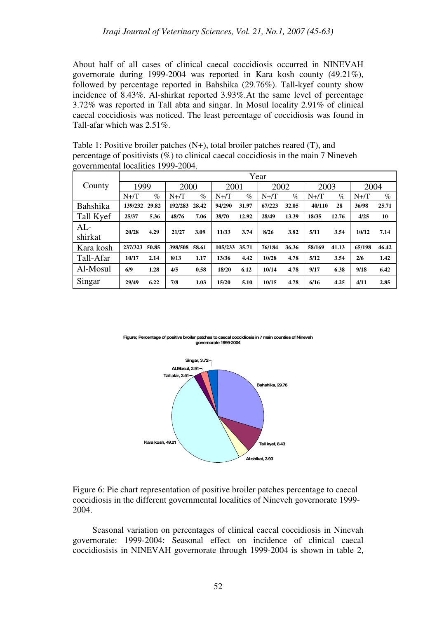About half of all cases of clinical caecal coccidiosis occurred in NINEVAH governorate during 1999-2004 was reported in Kara kosh county (49.21%), followed by percentage reported in Bahshika (29.76%). Tall-kyef county show incidence of 8.43%. Al-shirkat reported 3.93%.At the same level of percentage 3.72% was reported in Tall abta and singar. In Mosul locality 2.91% of clinical caecal coccidiosis was noticed. The least percentage of coccidiosis was found in Tall-afar which was 2.51%.

Table 1: Positive broiler patches (N+), total broiler patches reared (T), and percentage of positivists (%) to clinical caecal coccidiosis in the main 7 Nineveh governmental localities 1999-2004.

|           | Year    |       |         |       |         |       |         |       |         |       |         |       |
|-----------|---------|-------|---------|-------|---------|-------|---------|-------|---------|-------|---------|-------|
| County    | 1999    |       | 2000    |       | 2001    |       | 2002    |       | 2003    |       | 2004    |       |
|           | $N+$ /T | $\%$  | $N+$ T  | $\%$  | $N+/T$  | $\%$  | $N+$ /T | $\%$  | $N+$ /T | $\%$  | $N+$ /T | $\%$  |
| Bahshika  | 139/232 | 29.82 | 192/283 | 28.42 | 94/290  | 31.97 | 67/223  | 32.05 | 40/110  | 28    | 36/98   | 25.71 |
| Tall Kyef | 25/37   | 5.36  | 48/76   | 7.06  | 38/70   | 12.92 | 28/49   | 13.39 | 18/35   | 12.76 | 4/25    | 10    |
| $AL-$     | 20/28   | 4.29  | 21/27   | 3.09  | 11/33   | 3.74  | 8/26    | 3.82  | 5/11    | 3.54  | 10/12   | 7.14  |
| shirkat   |         |       |         |       |         |       |         |       |         |       |         |       |
| Kara kosh | 237/323 | 50.85 | 398/508 | 58.61 | 105/233 | 35.71 | 76/184  | 36.36 | 58/169  | 41.13 | 65/198  | 46.42 |
| Tall-Afar | 10/17   | 2.14  | 8/13    | 1.17  | 13/36   | 4.42  | 10/28   | 4.78  | 5/12    | 3.54  | 2/6     | 1.42  |
| Al-Mosul  | 6/9     | 1.28  | 4/5     | 0.58  | 18/20   | 6.12  | 10/14   | 4.78  | 9/17    | 6.38  | 9/18    | 6.42  |
| Singar    | 29/49   | 6.22  | 7/8     | 1.03  | 15/20   | 5.10  | 10/15   | 4.78  | 6/16    | 4.25  | 4/11    | 2.85  |

**Example: Percentage of positive broiler patches to caecal coccidiosis in 7 main counties of Nine governorate 1999-2004**



Figure 6: Pie chart representation of positive broiler patches percentage to caecal coccidiosis in the different governmental localities of Nineveh governorate 1999- 2004.

Seasonal variation on percentages of clinical caecal coccidiosis in Ninevah governorate: 1999-2004: Seasonal effect on incidence of clinical caecal coccidiosisis in NINEVAH governorate through 1999-2004 is shown in table 2,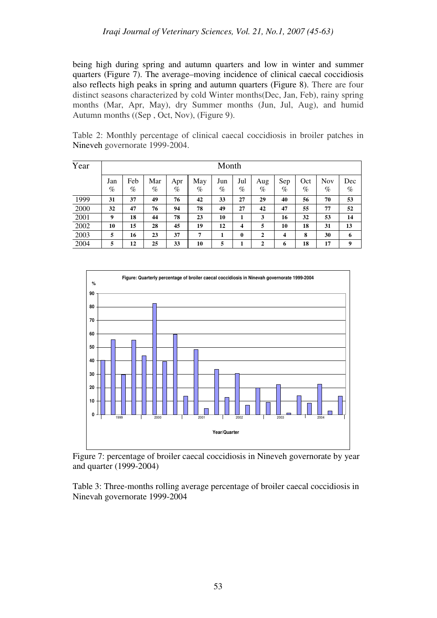being high during spring and autumn quarters and low in winter and summer quarters (Figure 7). The average–moving incidence of clinical caecal coccidiosis also reflects high peaks in spring and autumn quarters (Figure 8). There are four distinct seasons characterized by cold Winter months(Dec, Jan, Feb), rainy spring months (Mar, Apr, May), dry Summer months (Jun, Jul, Aug), and humid Autumn months ((Sep , Oct, Nov), (Figure 9).

| Year | Month    |             |             |             |          |             |              |             |             |             |             |             |
|------|----------|-------------|-------------|-------------|----------|-------------|--------------|-------------|-------------|-------------|-------------|-------------|
|      | Jan<br>% | Feb<br>$\%$ | Mar<br>$\%$ | Apr<br>$\%$ | May<br>% | Jun<br>$\%$ | Jul<br>$\%$  | Aug<br>$\%$ | Sep<br>$\%$ | Oct<br>$\%$ | Nov<br>$\%$ | Dec<br>$\%$ |
| 1999 | 31       | 37          | 49          | 76          | 42       | 33          | 27           | 29          | 40          | 56          | 70          | 53          |
| 2000 | 32       | 47          | 76          | 94          | 78       | 49          | 27           | 42          | 47          | 55          | 77          | 52          |
| 2001 | 9        | 18          | 44          | 78          | 23       | 10          | 1            | 3           | 16          | 32          | 53          | 14          |
| 2002 | 10       | 15          | 28          | 45          | 19       | 12          | 4            | 5           | 10          | 18          | 31          | 13          |
| 2003 | 5        | 16          | 23          | 37          | 7        | 1           | $\mathbf{0}$ | 2           | 4           | 8           | 30          | 6           |
| 2004 | 5        | 12          | 25          | 33          | 10       | 5           |              | 2           | 6           | 18          | 17          | 9           |

Table 2: Monthly percentage of clinical caecal coccidiosis in broiler patches in Nineveh governorate 1999-2004.



Figure 7: percentage of broiler caecal coccidiosis in Nineveh governorate by year and quarter (1999-2004)

Table 3: Three-months rolling average percentage of broiler caecal coccidiosis in Ninevah governorate 1999-2004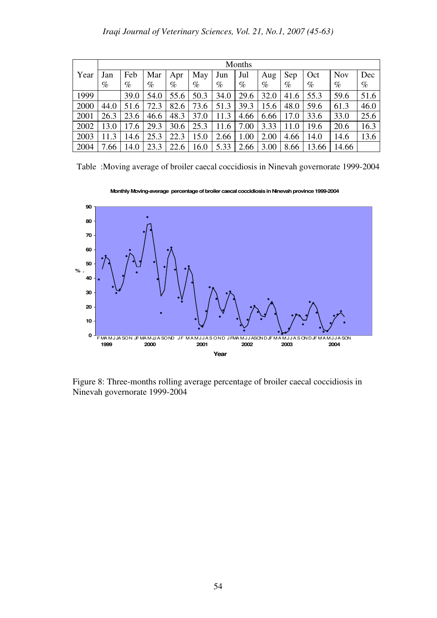|      | Months |      |      |      |      |      |      |      |      |       |            |      |
|------|--------|------|------|------|------|------|------|------|------|-------|------------|------|
| Year | Jan    | Feb  | Mar  | Apr  | May  | Jun  | Jul  | Aug  | Sep  | Oct   | <b>Nov</b> | Dec  |
|      | %      | $\%$ | %    | %    | $\%$ | $\%$ | $\%$ | $\%$ | $\%$ | $\%$  | $\%$       | $\%$ |
| 1999 |        | 39.0 | 54.0 | 55.6 | 50.3 | 34.0 | 29.6 | 32.0 | 41.6 | 55.3  | 59.6       | 51.6 |
| 2000 | 44.0   | 51.6 | 72.3 | 82.6 | 73.6 | 51.3 | 39.3 | 15.6 | 48.0 | 59.6  | 61.3       | 46.0 |
| 2001 | 26.3   | 23.6 | 46.6 | 48.3 | 37.0 | 11.3 | 4.66 | 6.66 | 17.0 | 33.6  | 33.0       | 25.6 |
| 2002 | 13.0   | 17.6 | 29.3 | 30.6 | 25.3 | 11.6 | 7.00 | 3.33 | 11.0 | 19.6  | 20.6       | 16.3 |
| 2003 | 11.3   | 14.6 | 25.3 | 22.3 | 15.0 | 2.66 | 1.00 | 2.00 | 4.66 | 14.0  | 14.6       | 13.6 |
| 2004 | 7.66   | 14.0 | 23.3 | 22.6 | 16.0 | 5.33 | 2.66 | 3.00 | 8.66 | 13.66 | 14.66      |      |

Table :Moving average of broiler caecal coccidiosis in Ninevah governorate 1999-2004



**Monthly Moving-average percentage of broiler caecal coccidiosis in Ninevah province 1999-2004**

Figure 8: Three-months rolling average percentage of broiler caecal coccidiosis in Ninevah governorate 1999-2004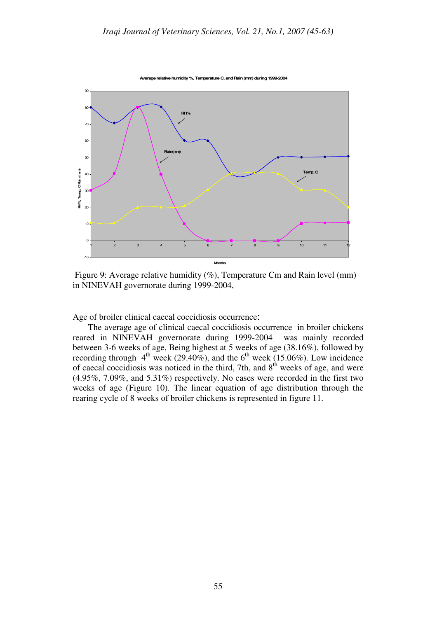**Average relative humidity %, Temperature C, and Rain (mm) during 1999-2004**



Figure 9: Average relative humidity (%), Temperature Cm and Rain level (mm) in NINEVAH governorate during 1999-2004,

Age of broiler clinical caecal coccidiosis occurrence:

 The average age of clinical caecal coccidiosis occurrence in broiler chickens reared in NINEVAH governorate during 1999-2004 was mainly recorded between 3-6 weeks of age, Being highest at 5 weeks of age (38.16%), followed by recording through  $4<sup>th</sup>$  week (29.40%), and the 6<sup>th</sup> week (15.06%). Low incidence of caecal coccidiosis was noticed in the third, 7th, and  $8<sup>th</sup>$  weeks of age, and were (4.95%, 7.09%, and 5.31%) respectively. No cases were recorded in the first two weeks of age (Figure 10). The linear equation of age distribution through the rearing cycle of 8 weeks of broiler chickens is represented in figure 11.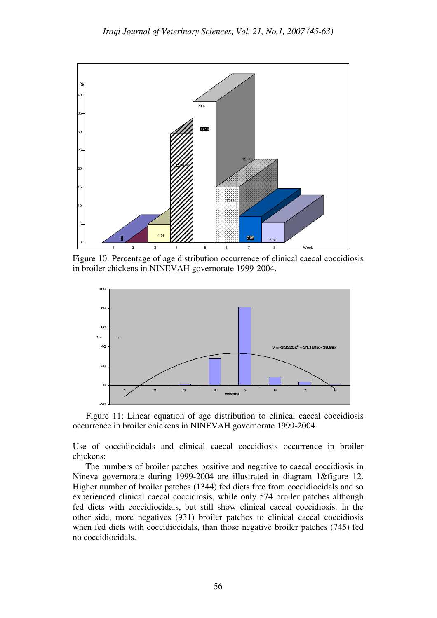

Figure 10: Percentage of age distribution occurrence of clinical caecal coccidiosis in broiler chickens in NINEVAH governorate 1999-2004.



Figure 11: Linear equation of age distribution to clinical caecal coccidiosis occurrence in broiler chickens in NINEVAH governorate 1999-2004

Use of coccidiocidals and clinical caecal coccidiosis occurrence in broiler chickens:

 The numbers of broiler patches positive and negative to caecal coccidiosis in Nineva governorate during 1999-2004 are illustrated in diagram 1&figure 12. Higher number of broiler patches (1344) fed diets free from coccidiocidals and so experienced clinical caecal coccidiosis, while only 574 broiler patches although fed diets with coccidiocidals, but still show clinical caecal coccidiosis. In the other side, more negatives (931) broiler patches to clinical caecal coccidiosis when fed diets with coccidiocidals, than those negative broiler patches (745) fed no coccidiocidals.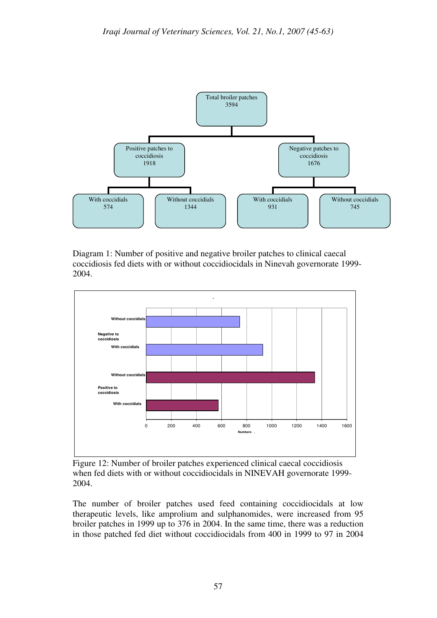

Diagram 1: Number of positive and negative broiler patches to clinical caecal coccidiosis fed diets with or without coccidiocidals in Ninevah governorate 1999- 2004.



Figure 12: Number of broiler patches experienced clinical caecal coccidiosis when fed diets with or without coccidiocidals in NINEVAH governorate 1999- 2004.

The number of broiler patches used feed containing coccidiocidals at low therapeutic levels, like amprolium and sulphanomides, were increased from 95 broiler patches in 1999 up to 376 in 2004. In the same time, there was a reduction in those patched fed diet without coccidiocidals from 400 in 1999 to 97 in 2004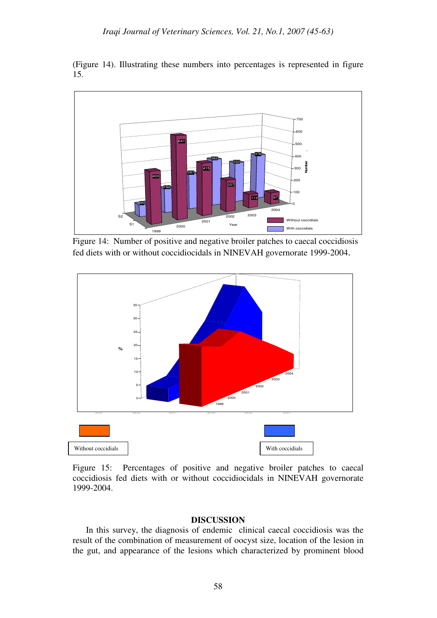(Figure 14). Illustrating these numbers into percentages is represented in figure 15.



Figure 14: Number of positive and negative broiler patches to caecal coccidiosis fed diets with or without coccidiocidals in NINEVAH governorate 1999-2004.



Figure 15: Percentages of positive and negative broiler patches to caecal coccidiosis fed diets with or without coccidiocidals in NINEVAH governorate 1999-2004.

### **DISCUSSION**

 In this survey, the diagnosis of endemic clinical caecal coccidiosis was the result of the combination of measurement of oocyst size, location of the lesion in the gut, and appearance of the lesions which characterized by prominent blood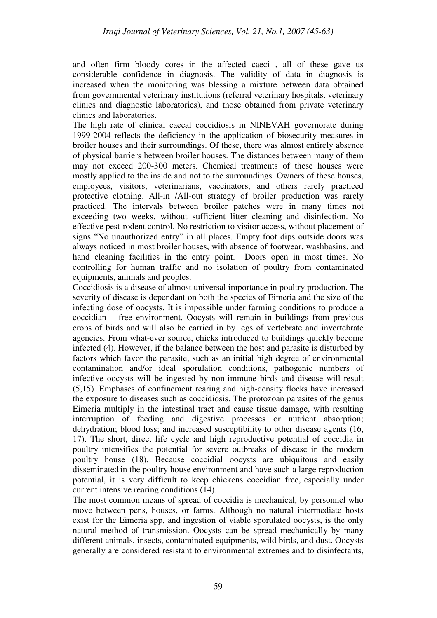and often firm bloody cores in the affected caeci , all of these gave us considerable confidence in diagnosis. The validity of data in diagnosis is increased when the monitoring was blessing a mixture between data obtained from governmental veterinary institutions (referral veterinary hospitals, veterinary clinics and diagnostic laboratories), and those obtained from private veterinary clinics and laboratories.

The high rate of clinical caecal coccidiosis in NINEVAH governorate during 1999-2004 reflects the deficiency in the application of biosecurity measures in broiler houses and their surroundings. Of these, there was almost entirely absence of physical barriers between broiler houses. The distances between many of them may not exceed 200-300 meters. Chemical treatments of these houses were mostly applied to the inside and not to the surroundings. Owners of these houses, employees, visitors, veterinarians, vaccinators, and others rarely practiced protective clothing. All-in /All-out strategy of broiler production was rarely practiced. The intervals between broiler patches were in many times not exceeding two weeks, without sufficient litter cleaning and disinfection. No effective pest-rodent control. No restriction to visitor access, without placement of signs "No unauthorized entry" in all places. Empty foot dips outside doors was always noticed in most broiler houses, with absence of footwear, washbasins, and hand cleaning facilities in the entry point. Doors open in most times. No controlling for human traffic and no isolation of poultry from contaminated equipments, animals and peoples.

Coccidiosis is a disease of almost universal importance in poultry production. The severity of disease is dependant on both the species of Eimeria and the size of the infecting dose of oocysts. It is impossible under farming conditions to produce a coccidian – free environment. Oocysts will remain in buildings from previous crops of birds and will also be carried in by legs of vertebrate and invertebrate agencies. From what-ever source, chicks introduced to buildings quickly become infected (4). However, if the balance between the host and parasite is disturbed by factors which favor the parasite, such as an initial high degree of environmental contamination and/or ideal sporulation conditions, pathogenic numbers of infective oocysts will be ingested by non-immune birds and disease will result (5,15). Emphases of confinement rearing and high-density flocks have increased the exposure to diseases such as coccidiosis. The protozoan parasites of the genus Eimeria multiply in the intestinal tract and cause tissue damage, with resulting interruption of feeding and digestive processes or nutrient absorption; dehydration; blood loss; and increased susceptibility to other disease agents (16, 17). The short, direct life cycle and high reproductive potential of coccidia in poultry intensifies the potential for severe outbreaks of disease in the modern poultry house (18). Because coccidial oocysts are ubiquitous and easily disseminated in the poultry house environment and have such a large reproduction potential, it is very difficult to keep chickens coccidian free, especially under current intensive rearing conditions (14).

The most common means of spread of coccidia is mechanical, by personnel who move between pens, houses, or farms. Although no natural intermediate hosts exist for the Eimeria spp, and ingestion of viable sporulated oocysts, is the only natural method of transmission. Oocysts can be spread mechanically by many different animals, insects, contaminated equipments, wild birds, and dust. Oocysts generally are considered resistant to environmental extremes and to disinfectants,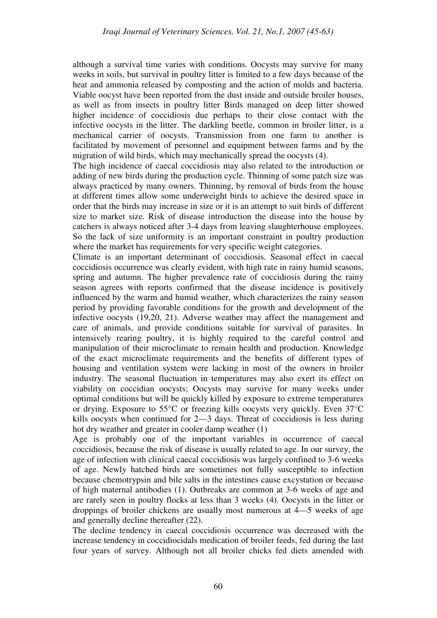although a survival time varies with conditions. Oocysts may survive for many weeks in soils, but survival in poultry litter is limited to a few days because of the heat and ammonia released by composting and the action of molds and bacteria. Viable oocyst have been reported from the dust inside and outside broiler houses, as well as from insects in poultry litter Birds managed on deep litter showed higher incidence of coccidiosis due perhaps to their close contact with the infective oocysts in the litter. The darkling beetle, common in broiler litter, is a mechanical carrier of oocysts. Transmission from one farm to another is facilitated by movement of personnel and equipment between farms and by the migration of wild birds, which may mechanically spread the oocysts (4).

The high incidence of caecal coccidiosis may also related to the introduction or adding of new birds during the production cycle. Thinning of some patch size was always practiced by many owners. Thinning, by removal of birds from the house at different times allow some underweight birds to achieve the desired space in order that the birds may increase in size or it is an attempt to suit birds of different size to market size. Risk of disease introduction the disease into the house by catchers is always noticed after 3-4 days from leaving slaughterhouse employees. So the lack of size uniformity is an important constraint in poultry production where the market has requirements for very specific weight categories.

Climate is an important determinant of coccidiosis. Seasonal effect in caecal coccidiosis occurrence was clearly evident, with high rate in rainy humid seasons, spring and autumn. The higher prevalence rate of coccidiosis during the rainy season agrees with reports confirmed that the disease incidence is positively influenced by the warm and humid weather, which characterizes the rainy season period by providing favorable conditions for the growth and development of the infective oocysts (19,20, 21). Adverse weather may affect the management and care of animals, and provide conditions suitable for survival of parasites. In intensively rearing poultry, it is highly required to the careful control and manipulation of their microclimate to remain health and production. Knowledge of the exact microclimate requirements and the benefits of different types of housing and ventilation system were lacking in most of the owners in broiler industry. The seasonal fluctuation in temperatures may also exert its effect on viability on coccidian oocysts; Oocysts may survive for many weeks under optimal conditions but will be quickly killed by exposure to extreme temperatures or drying. Exposure to 55°C or freezing kills oocysts very quickly. Even 37°C kills oocysts when continued for 2—3 days. Threat of coccidiosis is less during hot dry weather and greater in cooler damp weather (1)

Age is probably one of the important variables in occurrence of caecal coccidiosis, because the risk of disease is usually related to age. In our survey, the age of infection with clinical caecal coccidiosis was largely confined to 3-6 weeks of age. Newly hatched birds are sometimes not fully susceptible to infection because chemotrypsin and bile salts in the intestines cause excystation or because of high maternal antibodies (1). Outbreaks are common at 3-6 weeks of age and are rarely seen in poultry flocks at less than 3 weeks (4). Oocysts in the litter or droppings of broiler chickens are usually most numerous at 4—5 weeks of age and generally decline thereafter (22).

The decline tendency in caecal coccidiosis occurrence was decreased with the increase tendency in coccidiocidals medication of broiler feeds, fed during the last four years of survey. Although not all broiler chicks fed diets amended with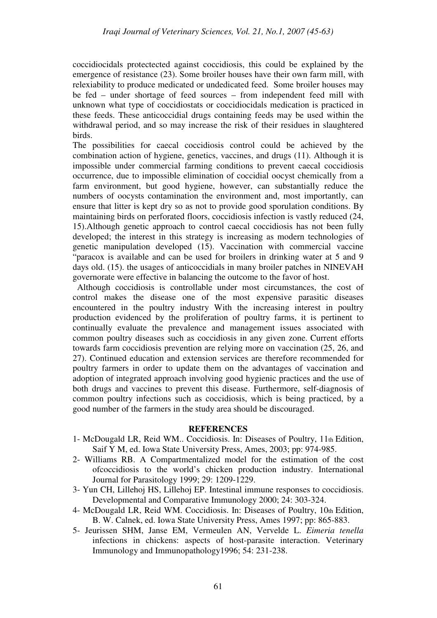coccidiocidals protectected against coccidiosis, this could be explained by the emergence of resistance (23). Some broiler houses have their own farm mill, with relexiability to produce medicated or undedicated feed. Some broiler houses may be fed – under shortage of feed sources – from independent feed mill with unknown what type of coccidiostats or coccidiocidals medication is practiced in these feeds. These anticoccidial drugs containing feeds may be used within the withdrawal period, and so may increase the risk of their residues in slaughtered birds.

The possibilities for caecal coccidiosis control could be achieved by the combination action of hygiene, genetics, vaccines, and drugs (11). Although it is impossible under commercial farming conditions to prevent caecal coccidiosis occurrence, due to impossible elimination of coccidial oocyst chemically from a farm environment, but good hygiene, however, can substantially reduce the numbers of oocysts contamination the environment and, most importantly, can ensure that litter is kept dry so as not to provide good sporulation conditions. By maintaining birds on perforated floors, coccidiosis infection is vastly reduced (24, 15).Although genetic approach to control caecal coccidiosis has not been fully developed; the interest in this strategy is increasing as modern technologies of genetic manipulation developed (15). Vaccination with commercial vaccine "paracox is available and can be used for broilers in drinking water at 5 and 9 days old. (15). the usages of anticoccidials in many broiler patches in NINEVAH governorate were effective in balancing the outcome to the favor of host.

 Although coccidiosis is controllable under most circumstances, the cost of control makes the disease one of the most expensive parasitic diseases encountered in the poultry industry With the increasing interest in poultry production evidenced by the proliferation of poultry farms, it is pertinent to continually evaluate the prevalence and management issues associated with common poultry diseases such as coccidiosis in any given zone. Current efforts towards farm coccidiosis prevention are relying more on vaccination (25, 26, and 27). Continued education and extension services are therefore recommended for poultry farmers in order to update them on the advantages of vaccination and adoption of integrated approach involving good hygienic practices and the use of both drugs and vaccines to prevent this disease. Furthermore, self-diagnosis of common poultry infections such as coccidiosis, which is being practiced, by a good number of the farmers in the study area should be discouraged.

### **REFERENCES**

- 1- McDougald LR, Reid WM.. Coccidiosis. In: Diseases of Poultry, 11th Edition, Saif Y M, ed. Iowa State University Press, Ames, 2003; pp: 974-985.
- 2- Williams RB. A Compartmentalized model for the estimation of the cost ofcoccidiosis to the world's chicken production industry. International Journal for Parasitology 1999; 29: 1209-1229.
- 3- Yun CH, Lillehoj HS, Lillehoj EP. Intestinal immune responses to coccidiosis. Developmental and Comparative Immunology 2000; 24: 303-324.
- 4- McDougald LR, Reid WM. Coccidiosis. In: Diseases of Poultry, 10th Edition, B. W. Calnek, ed. Iowa State University Press, Ames 1997; pp: 865-883.
- 5- Jeurissen SHM, Janse EM, Vermeulen AN, Vervelde L. *Eimeria tenella*  infections in chickens: aspects of host-parasite interaction. Veterinary Immunology and Immunopathology1996; 54: 231-238.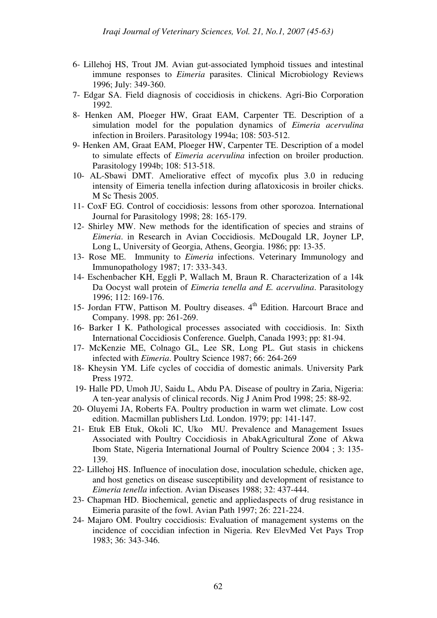- 6- Lillehoj HS, Trout JM. Avian gut-associated lymphoid tissues and intestinal immune responses to *Eimeria* parasites. Clinical Microbiology Reviews 1996; July: 349-360.
- 7- Edgar SA. Field diagnosis of coccidiosis in chickens. Agri-Bio Corporation 1992.
- 8- Henken AM, Ploeger HW, Graat EAM, Carpenter TE. Description of a simulation model for the population dynamics of *Eimeria acervulina*  infection in Broilers. Parasitology 1994a; 108: 503-512.
- 9- Henken AM, Graat EAM, Ploeger HW, Carpenter TE. Description of a model to simulate effects of *Eimeria acervulina* infection on broiler production. Parasitology 1994b; 108: 513-518.
- 10- AL-Sbawi DMT. Ameliorative effect of mycofix plus 3.0 in reducing intensity of Eimeria tenella infection during aflatoxicosis in broiler chicks. M Sc Thesis 2005.
- 11- CoxF EG. Control of coccidiosis: lessons from other sporozoa. International Journal for Parasitology 1998; 28: 165-179.
- 12- Shirley MW. New methods for the identification of species and strains of *Eimeria*. in Research in Avian Coccidiosis. McDougald LR, Joyner LP, Long L, University of Georgia, Athens, Georgia. 1986; pp: 13-35.
- 13- Rose ME. Immunity to *Eimeria* infections. Veterinary Immunology and Immunopathology 1987; 17: 333-343.
- 14- Eschenbacher KH, Eggli P, Wallach M, Braun R. Characterization of a 14k Da Oocyst wall protein of *Eimeria tenella and E. acervulina*. Parasitology 1996; 112: 169-176.
- 15- Jordan FTW, Pattison M. Poultry diseases. 4<sup>th</sup> Edition. Harcourt Brace and Company. 1998. pp: 261-269.
- 16- Barker I K. Pathological processes associated with coccidiosis. In: Sixth International Coccidiosis Conference. Guelph, Canada 1993; pp: 81-94.
- 17- McKenzie ME, Colnago GL, Lee SR, Long PL. Gut stasis in chickens infected with *Eimeria*. Poultry Science 1987; 66: 264-269
- 18- Kheysin YM. Life cycles of coccidia of domestic animals. University Park Press 1972.
- 19- Halle PD, Umoh JU, Saidu L, Abdu PA. Disease of poultry in Zaria, Nigeria: A ten-year analysis of clinical records. Nig J Anim Prod 1998; 25: 88-92.
- 20- Oluyemi JA, Roberts FA. Poultry production in warm wet climate. Low cost edition. Macmillan publishers Ltd. London. 1979; pp: 141-147.
- 21- Etuk EB Etuk, Okoli IC, Uko MU. Prevalence and Management Issues Associated with Poultry Coccidiosis in AbakAgricultural Zone of Akwa Ibom State, Nigeria International Journal of Poultry Science 2004 ; 3: 135- 139.
- 22- Lillehoj HS. Influence of inoculation dose, inoculation schedule, chicken age, and host genetics on disease susceptibility and development of resistance to *Eimeria tenella* infection. Avian Diseases 1988; 32: 437-444.
- 23- Chapman HD. Biochemical, genetic and appliedaspects of drug resistance in Eimeria parasite of the fowl. Avian Path 1997; 26: 221-224.
- 24- Majaro OM. Poultry coccidiosis: Evaluation of management systems on the incidence of coccidian infection in Nigeria. Rev ElevMed Vet Pays Trop 1983; 36: 343-346.